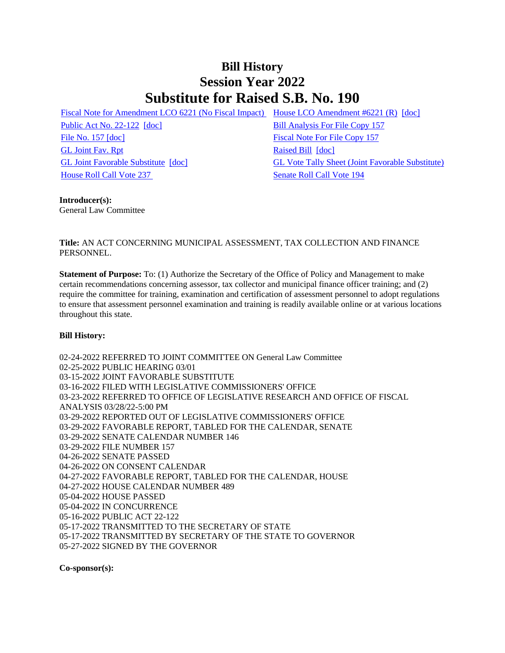## **Bill History Session Year 2022 Substitute for Raised S.B. No. 190**

[Fiscal Note for Amendment LCO 6221 \(No Fiscal Impact\)](/2022/fna/pdf/2022SB-00190-R00LCO06221-FNA.pdf) [House LCO Amendment #6221 \(R\)](/2022/lcoamd/pdf/2022LCO06221-R00-AMD.pdf) [\[doc\]](https://search.cga.state.ct.us/dl2022/aml/doc/2022LCO06221-R00-AMD.DOCX)

[Public Act No. 22-122](/2022/ACT/PA/PDF/2022PA-00122-R00SB-00190-PA.PDF) [\[doc\]](https://search.cga.state.ct.us/dl2022/PA/DOC/2022PA-00122-R00SB-00190-PA.DOCX) [Bill Analysis For File Copy 157](/2022/BA/PDF/2022SB-00190-R000157-BA.PDF) [File No. 157](/2022/FC/PDF/2022SB-00190-R000157-FC.PDF) [\[doc\]](https://search.cga.state.ct.us/dl2022/fc/doc/2022SB-00190-R000157-FC.docx) [Fiscal Note For File Copy 157](/2022/FN/PDF/2022SB-00190-R000157-FN.PDF) [GL Joint Fav. Rpt](/2022/JFR/S/PDF/2022SB-00190-R00GL-JFR.PDF) [Raised Bill](/2022/TOB/S/PDF/2022SB-00190-R00-SB.PDF) [\[doc\]](https://search.cga.state.ct.us/dl2022/TOB/DOC/2022SB-00190-R00-SB.DOCX) [House Roll Call Vote 237](/2022/VOTE/H/PDF/2022HV-00237-R00SB00190-HV.PDF) [Senate Roll Call Vote 194](/2022/VOTE/S/PDF/2022SV-00194-R00SB00190-SV.PDF) 

[GL Joint Favorable Substitute](/2022/TOB/S/PDF/2022SB-00190-R01-SB.PDF) [\[doc\]](https://search.cga.state.ct.us/dl2022/TOB/DOC/2022SB-00190-R01-SB.DOCX) [GL Vote Tally Sheet \(Joint Favorable Substitute\)](/2022/TS/S/PDF/2022SB-00190-R00GL-CV23-TS.PDF)

## **Introducer(s):**

General Law Committee

## **Title:** AN ACT CONCERNING MUNICIPAL ASSESSMENT, TAX COLLECTION AND FINANCE PERSONNEL.

**Statement of Purpose:** To: (1) Authorize the Secretary of the Office of Policy and Management to make certain recommendations concerning assessor, tax collector and municipal finance officer training; and (2) require the committee for training, examination and certification of assessment personnel to adopt regulations to ensure that assessment personnel examination and training is readily available online or at various locations throughout this state.

## **Bill History:**

02-24-2022 REFERRED TO JOINT COMMITTEE ON General Law Committee 02-25-2022 PUBLIC HEARING 03/01 03-15-2022 JOINT FAVORABLE SUBSTITUTE 03-16-2022 FILED WITH LEGISLATIVE COMMISSIONERS' OFFICE 03-23-2022 REFERRED TO OFFICE OF LEGISLATIVE RESEARCH AND OFFICE OF FISCAL ANALYSIS 03/28/22-5:00 PM 03-29-2022 REPORTED OUT OF LEGISLATIVE COMMISSIONERS' OFFICE 03-29-2022 FAVORABLE REPORT, TABLED FOR THE CALENDAR, SENATE 03-29-2022 SENATE CALENDAR NUMBER 146 03-29-2022 FILE NUMBER 157 04-26-2022 SENATE PASSED 04-26-2022 ON CONSENT CALENDAR 04-27-2022 FAVORABLE REPORT, TABLED FOR THE CALENDAR, HOUSE 04-27-2022 HOUSE CALENDAR NUMBER 489 05-04-2022 HOUSE PASSED 05-04-2022 IN CONCURRENCE 05-16-2022 PUBLIC ACT 22-122 05-17-2022 TRANSMITTED TO THE SECRETARY OF STATE 05-17-2022 TRANSMITTED BY SECRETARY OF THE STATE TO GOVERNOR 05-27-2022 SIGNED BY THE GOVERNOR

**Co-sponsor(s):**